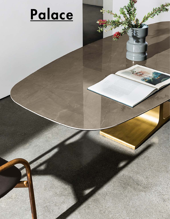

 $\overline{A}$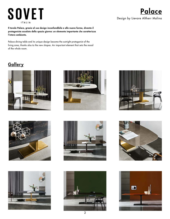# **SOVET ITALIA**

## Design by Lievore Altherr Molina **Palace**

Il tavolo Palace, grazie al suo design inconfondibile e alle nuove forme, diventa il protagonista assoluto dello spazio giorno: un elemento importante che caratterizza l'intero ambiente.

Palace dining table and its unique design become the outright protagonist of the living area, thanks also to the new shapes. An important element that sets the mood of the whole room.

### **Gallery**

















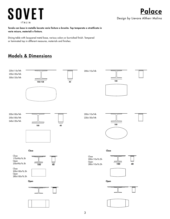# **SOVET ITALIA**

Tavolo con base in metallo laccato varie finiture o brunito. Top temperato o stratificato in varie misure, materiali e finiture.

Dining table with lacquered metal base, various colors or burnished finish. Tempered or laminated top in different measures, materials and finishes.

### Models & Dimensions